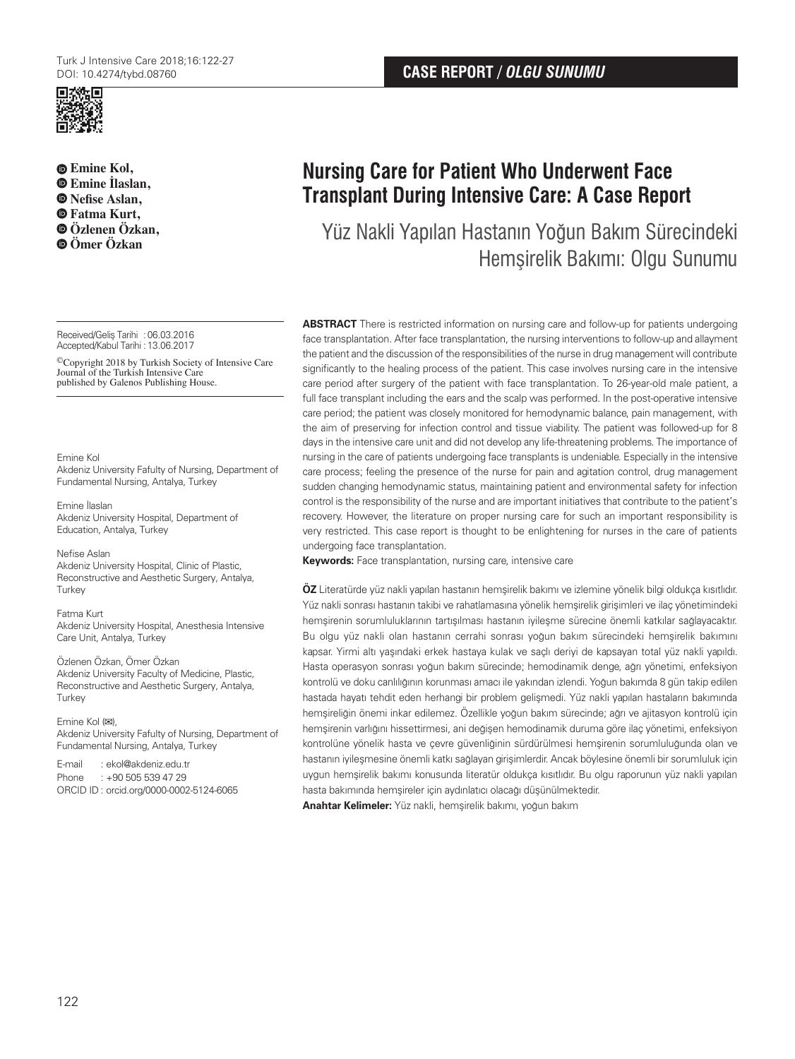

**Emine Kol, Emine İlaslan, Nefise Aslan, Fatma Kurt, Özlenen Özkan, Ömer Özkan**

Received/Geliş Tarihi :06.03.2016 Accepted/Kabul Tarihi :13.06.2017

©Copyright 2018 by Turkish Society of Intensive Care Journal of the Turkish Intensive Care published by Galenos Publishing House.

#### Emine Kol

Akdeniz University Fafulty of Nursing, Department of Fundamental Nursing, Antalya, Turkey

Emine İlaslan Akdeniz University Hospital, Department of Education, Antalya, Turkey

Nefise Aslan Akdeniz University Hospital, Clinic of Plastic, Reconstructive and Aesthetic Surgery, Antalya, Turkey

Fatma Kurt Akdeniz University Hospital, Anesthesia Intensive Care Unit, Antalya, Turkey

Özlenen Özkan, Ömer Özkan Akdeniz University Faculty of Medicine, Plastic, Reconstructive and Aesthetic Surgery, Antalya, Turkey

Emine Kol (**✉**), Akdeniz University Fafulty of Nursing, Department of Fundamental Nursing, Antalya, Turkey

E-mail : ekol@akdeniz.edu.tr Phone : +90 505 539 47 29 ORCID ID : orcid.org/0000-0002-5124-6065

# **Nursing Care for Patient Who Underwent Face Transplant During Intensive Care: A Case Report**

Yüz Nakli Yapılan Hastanın Yoğun Bakım Sürecindeki Hemşirelik Bakımı: Olgu Sunumu

**ABSTRACT** There is restricted information on nursing care and follow-up for patients undergoing face transplantation. After face transplantation, the nursing interventions to follow-up and allayment the patient and the discussion of the responsibilities of the nurse in drug management will contribute significantly to the healing process of the patient. This case involves nursing care in the intensive care period after surgery of the patient with face transplantation. To 26-year-old male patient, a full face transplant including the ears and the scalp was performed. In the post-operative intensive care period; the patient was closely monitored for hemodynamic balance, pain management, with the aim of preserving for infection control and tissue viability. The patient was followed-up for 8 days in the intensive care unit and did not develop any life-threatening problems. The importance of nursing in the care of patients undergoing face transplants is undeniable. Especially in the intensive care process; feeling the presence of the nurse for pain and agitation control, drug management sudden changing hemodynamic status, maintaining patient and environmental safety for infection control is the responsibility of the nurse and are important initiatives that contribute to the patient's recovery. However, the literature on proper nursing care for such an important responsibility is very restricted. This case report is thought to be enlightening for nurses in the care of patients undergoing face transplantation.

**Keywords:** Face transplantation, nursing care, intensive care

**ÖZ** Literatürde yüz nakli yapılan hastanın hemşirelik bakımı ve izlemine yönelik bilgi oldukça kısıtlıdır. Yüz nakli sonrası hastanın takibi ve rahatlamasına yönelik hemşirelik girişimleri ve ilaç yönetimindeki hemşirenin sorumluluklarının tartışılması hastanın iyileşme sürecine önemli katkılar sağlayacaktır. Bu olgu yüz nakli olan hastanın cerrahi sonrası yoğun bakım sürecindeki hemşirelik bakımını kapsar. Yirmi altı yaşındaki erkek hastaya kulak ve saçlı deriyi de kapsayan total yüz nakli yapıldı. Hasta operasyon sonrası yoğun bakım sürecinde; hemodinamik denge, ağrı yönetimi, enfeksiyon kontrolü ve doku canlılığının korunması amacı ile yakından izlendi. Yoğun bakımda 8 gün takip edilen hastada hayatı tehdit eden herhangi bir problem gelişmedi. Yüz nakli yapılan hastaların bakımında hemşireliğin önemi inkar edilemez. Özellikle yoğun bakım sürecinde; ağrı ve ajitasyon kontrolü için hemşirenin varlığını hissettirmesi, ani değişen hemodinamik duruma göre ilaç yönetimi, enfeksiyon kontrolüne yönelik hasta ve çevre güvenliğinin sürdürülmesi hemşirenin sorumluluğunda olan ve hastanın iyileşmesine önemli katkı sağlayan girişimlerdir. Ancak böylesine önemli bir sorumluluk için uygun hemşirelik bakımı konusunda literatür oldukça kısıtlıdır. Bu olgu raporunun yüz nakli yapılan hasta bakımında hemşireler için aydınlatıcı olacağı düşünülmektedir.

**Anahtar Kelimeler:** Yüz nakli, hemşirelik bakımı, yoğun bakım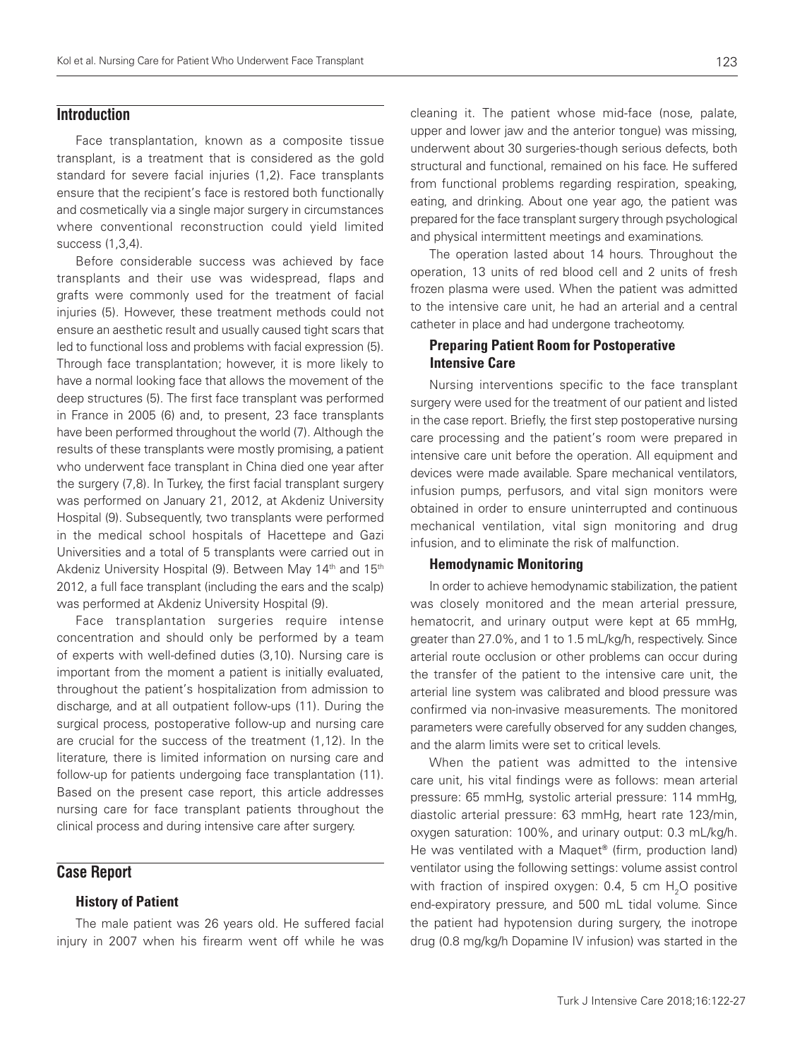## **Introduction**

Face transplantation, known as a composite tissue transplant, is a treatment that is considered as the gold standard for severe facial injuries (1,2). Face transplants ensure that the recipient's face is restored both functionally and cosmetically via a single major surgery in circumstances where conventional reconstruction could yield limited success (1,3,4).

Before considerable success was achieved by face transplants and their use was widespread, flaps and grafts were commonly used for the treatment of facial injuries (5). However, these treatment methods could not ensure an aesthetic result and usually caused tight scars that led to functional loss and problems with facial expression (5). Through face transplantation; however, it is more likely to have a normal looking face that allows the movement of the deep structures (5). The first face transplant was performed in France in 2005 (6) and, to present, 23 face transplants have been performed throughout the world (7). Although the results of these transplants were mostly promising, a patient who underwent face transplant in China died one year after the surgery (7,8). In Turkey, the first facial transplant surgery was performed on January 21, 2012, at Akdeniz University Hospital (9). Subsequently, two transplants were performed in the medical school hospitals of Hacettepe and Gazi Universities and a total of 5 transplants were carried out in Akdeniz University Hospital (9). Between May 14<sup>th</sup> and 15<sup>th</sup> 2012, a full face transplant (including the ears and the scalp) was performed at Akdeniz University Hospital (9).

Face transplantation surgeries require intense concentration and should only be performed by a team of experts with well-defined duties (3,10). Nursing care is important from the moment a patient is initially evaluated, throughout the patient's hospitalization from admission to discharge, and at all outpatient follow-ups (11). During the surgical process, postoperative follow-up and nursing care are crucial for the success of the treatment (1,12). In the literature, there is limited information on nursing care and follow-up for patients undergoing face transplantation (11). Based on the present case report, this article addresses nursing care for face transplant patients throughout the clinical process and during intensive care after surgery.

## **Case Report**

## History of Patient

The male patient was 26 years old. He suffered facial injury in 2007 when his firearm went off while he was cleaning it. The patient whose mid-face (nose, palate, upper and lower jaw and the anterior tongue) was missing, underwent about 30 surgeries-though serious defects, both structural and functional, remained on his face. He suffered from functional problems regarding respiration, speaking, eating, and drinking. About one year ago, the patient was prepared for the face transplant surgery through psychological and physical intermittent meetings and examinations.

The operation lasted about 14 hours. Throughout the operation, 13 units of red blood cell and 2 units of fresh frozen plasma were used. When the patient was admitted to the intensive care unit, he had an arterial and a central catheter in place and had undergone tracheotomy.

## Preparing Patient Room for Postoperative Intensive Care

Nursing interventions specific to the face transplant surgery were used for the treatment of our patient and listed in the case report. Briefly, the first step postoperative nursing care processing and the patient's room were prepared in intensive care unit before the operation. All equipment and devices were made available. Spare mechanical ventilators, infusion pumps, perfusors, and vital sign monitors were obtained in order to ensure uninterrupted and continuous mechanical ventilation, vital sign monitoring and drug infusion, and to eliminate the risk of malfunction.

#### Hemodynamic Monitoring

In order to achieve hemodynamic stabilization, the patient was closely monitored and the mean arterial pressure, hematocrit, and urinary output were kept at 65 mmHg, greater than 27.0%, and 1 to 1.5 mL/kg/h, respectively. Since arterial route occlusion or other problems can occur during the transfer of the patient to the intensive care unit, the arterial line system was calibrated and blood pressure was confirmed via non-invasive measurements. The monitored parameters were carefully observed for any sudden changes, and the alarm limits were set to critical levels.

When the patient was admitted to the intensive care unit, his vital findings were as follows: mean arterial pressure: 65 mmHg, systolic arterial pressure: 114 mmHg, diastolic arterial pressure: 63 mmHg, heart rate 123/min, oxygen saturation: 100%, and urinary output: 0.3 mL/kg/h. He was ventilated with a Maquet® (firm, production land) ventilator using the following settings: volume assist control with fraction of inspired oxygen: 0.4, 5 cm  $H_2O$  positive end-expiratory pressure, and 500 mL tidal volume. Since the patient had hypotension during surgery, the inotrope drug (0.8 mg/kg/h Dopamine IV infusion) was started in the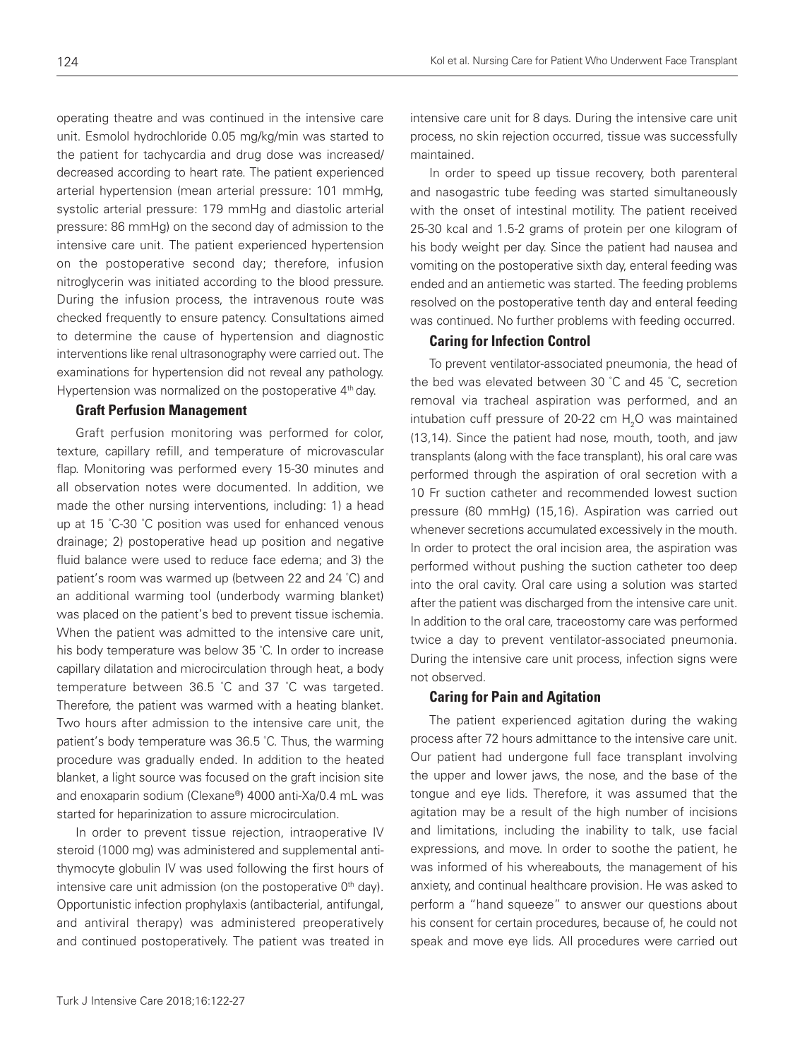operating theatre and was continued in the intensive care unit. Esmolol hydrochloride 0.05 mg/kg/min was started to the patient for tachycardia and drug dose was increased/ decreased according to heart rate. The patient experienced arterial hypertension (mean arterial pressure: 101 mmHg, systolic arterial pressure: 179 mmHg and diastolic arterial pressure: 86 mmHg) on the second day of admission to the intensive care unit. The patient experienced hypertension on the postoperative second day; therefore, infusion nitroglycerin was initiated according to the blood pressure. During the infusion process, the intravenous route was checked frequently to ensure patency. Consultations aimed to determine the cause of hypertension and diagnostic interventions like renal ultrasonography were carried out. The examinations for hypertension did not reveal any pathology. Hypertension was normalized on the postoperative 4<sup>th</sup> day.

#### Graft Perfusion Management

Graft perfusion monitoring was performed for color, texture, capillary refill, and temperature of microvascular flap. Monitoring was performed every 15-30 minutes and all observation notes were documented. In addition, we made the other nursing interventions, including: 1) a head up at 15 ° C-30 ° C position was used for enhanced venous drainage; 2) postoperative head up position and negative fluid balance were used to reduce face edema; and 3) the patient's room was warmed up (between 22 and 24 ° C) and an additional warming tool (underbody warming blanket) was placed on the patient's bed to prevent tissue ischemia. When the patient was admitted to the intensive care unit, his body temperature was below 35 ° C. In order to increase capillary dilatation and microcirculation through heat, a body temperature between 36.5 ° C and 37 ° C was targeted. Therefore, the patient was warmed with a heating blanket. Two hours after admission to the intensive care unit, the patient's body temperature was 36.5 ° C. Thus, the warming procedure was gradually ended. In addition to the heated blanket, a light source was focused on the graft incision site and enoxaparin sodium (Clexane®) 4000 anti-Xa/0.4 mL was started for heparinization to assure microcirculation.

In order to prevent tissue rejection, intraoperative IV steroid (1000 mg) was administered and supplemental antithymocyte globulin IV was used following the first hours of intensive care unit admission (on the postoperative  $0<sup>th</sup>$  day). Opportunistic infection prophylaxis (antibacterial, antifungal, and antiviral therapy) was administered preoperatively and continued postoperatively. The patient was treated in

intensive care unit for 8 days. During the intensive care unit process, no skin rejection occurred, tissue was successfully maintained.

In order to speed up tissue recovery, both parenteral and nasogastric tube feeding was started simultaneously with the onset of intestinal motility. The patient received 25-30 kcal and 1.5-2 grams of protein per one kilogram of his body weight per day. Since the patient had nausea and vomiting on the postoperative sixth day, enteral feeding was ended and an antiemetic was started. The feeding problems resolved on the postoperative tenth day and enteral feeding was continued. No further problems with feeding occurred.

#### Caring for Infection Control

To prevent ventilator-associated pneumonia, the head of the bed was elevated between 30 ° C and 45 ° C, secretion removal via tracheal aspiration was performed, and an intubation cuff pressure of 20-22 cm  $H_2O$  was maintained (13,14). Since the patient had nose, mouth, tooth, and jaw transplants (along with the face transplant), his oral care was performed through the aspiration of oral secretion with a 10 Fr suction catheter and recommended lowest suction pressure (80 mmHg) (15,16). Aspiration was carried out whenever secretions accumulated excessively in the mouth. In order to protect the oral incision area, the aspiration was performed without pushing the suction catheter too deep into the oral cavity. Oral care using a solution was started after the patient was discharged from the intensive care unit. In addition to the oral care, traceostomy care was performed twice a day to prevent ventilator-associated pneumonia. During the intensive care unit process, infection signs were not observed.

#### Caring for Pain and Agitation

The patient experienced agitation during the waking process after 72 hours admittance to the intensive care unit. Our patient had undergone full face transplant involving the upper and lower jaws, the nose, and the base of the tongue and eye lids. Therefore, it was assumed that the agitation may be a result of the high number of incisions and limitations, including the inability to talk, use facial expressions, and move. In order to soothe the patient, he was informed of his whereabouts, the management of his anxiety, and continual healthcare provision. He was asked to perform a "hand squeeze" to answer our questions about his consent for certain procedures, because of, he could not speak and move eye lids. All procedures were carried out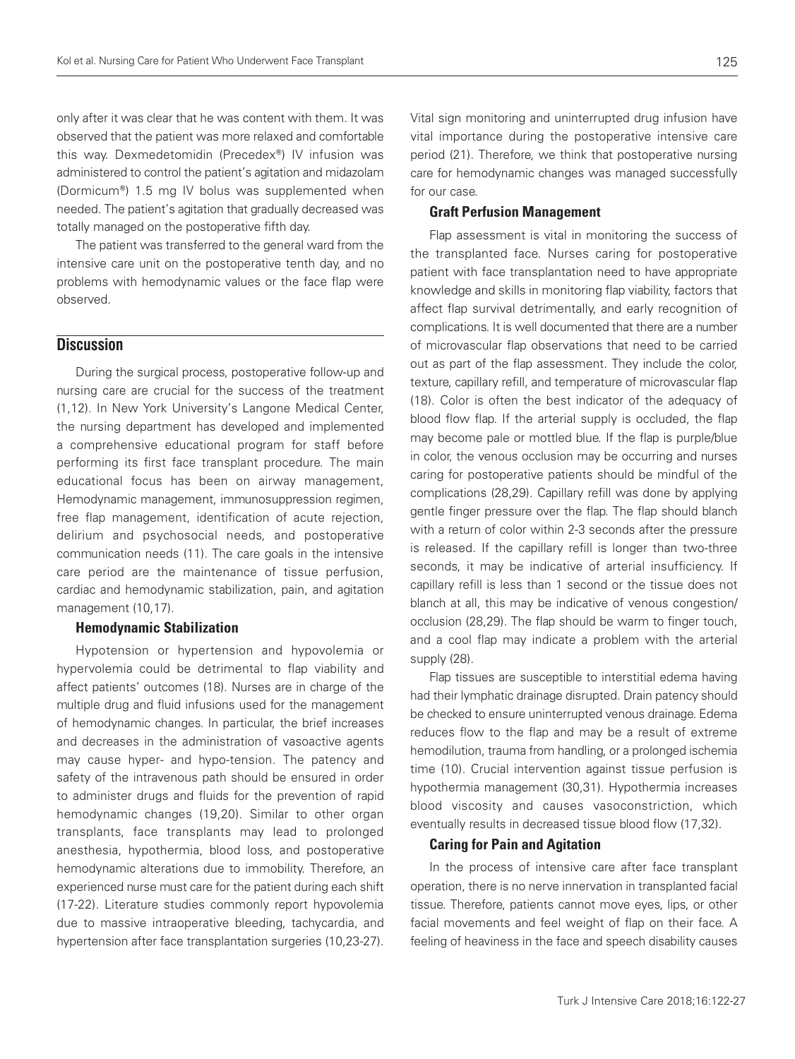only after it was clear that he was content with them. It was observed that the patient was more relaxed and comfortable this way. Dexmedetomidin (Precedex®) IV infusion was administered to control the patient's agitation and midazolam (Dormicum®) 1.5 mg IV bolus was supplemented when needed. The patient's agitation that gradually decreased was totally managed on the postoperative fifth day.

The patient was transferred to the general ward from the intensive care unit on the postoperative tenth day, and no problems with hemodynamic values or the face flap were observed.

# **Discussion**

During the surgical process, postoperative follow-up and nursing care are crucial for the success of the treatment (1,12). In New York University's Langone Medical Center, the nursing department has developed and implemented a comprehensive educational program for staff before performing its first face transplant procedure. The main educational focus has been on airway management, Hemodynamic management, immunosuppression regimen, free flap management, identification of acute rejection, delirium and psychosocial needs, and postoperative communication needs (11). The care goals in the intensive care period are the maintenance of tissue perfusion, cardiac and hemodynamic stabilization, pain, and agitation management (10,17).

#### Hemodynamic Stabilization

Hypotension or hypertension and hypovolemia or hypervolemia could be detrimental to flap viability and affect patients' outcomes (18). Nurses are in charge of the multiple drug and fluid infusions used for the management of hemodynamic changes. In particular, the brief increases and decreases in the administration of vasoactive agents may cause hyper- and hypo-tension. The patency and safety of the intravenous path should be ensured in order to administer drugs and fluids for the prevention of rapid hemodynamic changes (19,20). Similar to other organ transplants, face transplants may lead to prolonged anesthesia, hypothermia, blood loss, and postoperative hemodynamic alterations due to immobility. Therefore, an experienced nurse must care for the patient during each shift (17-22). Literature studies commonly report hypovolemia due to massive intraoperative bleeding, tachycardia, and hypertension after face transplantation surgeries (10,23-27).

Vital sign monitoring and uninterrupted drug infusion have vital importance during the postoperative intensive care period (21). Therefore, we think that postoperative nursing care for hemodynamic changes was managed successfully for our case.

#### Graft Perfusion Management

Flap assessment is vital in monitoring the success of the transplanted face. Nurses caring for postoperative patient with face transplantation need to have appropriate knowledge and skills in monitoring flap viability, factors that affect flap survival detrimentally, and early recognition of complications. It is well documented that there are a number of microvascular flap observations that need to be carried out as part of the flap assessment. They include the color, texture, capillary refill, and temperature of microvascular flap (18). Color is often the best indicator of the adequacy of blood flow flap. If the arterial supply is occluded, the flap may become pale or mottled blue. If the flap is purple/blue in color, the venous occlusion may be occurring and nurses caring for postoperative patients should be mindful of the complications (28,29). Capillary refill was done by applying gentle finger pressure over the flap. The flap should blanch with a return of color within 2-3 seconds after the pressure is released. If the capillary refill is longer than two-three seconds, it may be indicative of arterial insufficiency. If capillary refill is less than 1 second or the tissue does not blanch at all, this may be indicative of venous congestion/ occlusion (28,29). The flap should be warm to finger touch, and a cool flap may indicate a problem with the arterial supply (28).

Flap tissues are susceptible to interstitial edema having had their lymphatic drainage disrupted. Drain patency should be checked to ensure uninterrupted venous drainage. Edema reduces flow to the flap and may be a result of extreme hemodilution, trauma from handling, or a prolonged ischemia time (10). Crucial intervention against tissue perfusion is hypothermia management (30,31). Hypothermia increases blood viscosity and causes vasoconstriction, which eventually results in decreased tissue blood flow (17,32).

## Caring for Pain and Agitation

In the process of intensive care after face transplant operation, there is no nerve innervation in transplanted facial tissue. Therefore, patients cannot move eyes, lips, or other facial movements and feel weight of flap on their face. A feeling of heaviness in the face and speech disability causes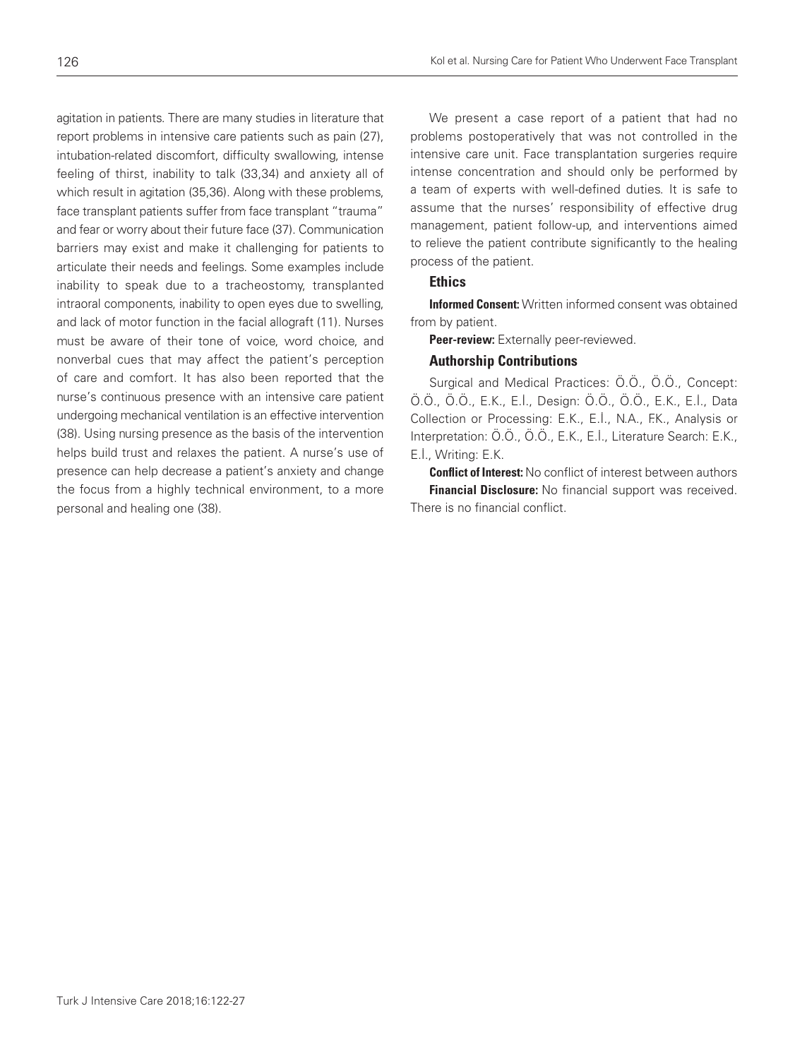agitation in patients. There are many studies in literature that report problems in intensive care patients such as pain (27), intubation-related discomfort, difficulty swallowing, intense feeling of thirst, inability to talk (33,34) and anxiety all of which result in agitation (35,36). Along with these problems, face transplant patients suffer from face transplant "trauma" and fear or worry about their future face (37). Communication barriers may exist and make it challenging for patients to articulate their needs and feelings. Some examples include inability to speak due to a tracheostomy, transplanted intraoral components, inability to open eyes due to swelling, and lack of motor function in the facial allograft (11). Nurses must be aware of their tone of voice, word choice, and nonverbal cues that may affect the patient's perception of care and comfort. It has also been reported that the nurse's continuous presence with an intensive care patient undergoing mechanical ventilation is an effective intervention (38). Using nursing presence as the basis of the intervention helps build trust and relaxes the patient. A nurse's use of presence can help decrease a patient's anxiety and change the focus from a highly technical environment, to a more personal and healing one (38).

We present a case report of a patient that had no problems postoperatively that was not controlled in the intensive care unit. Face transplantation surgeries require intense concentration and should only be performed by a team of experts with well-defined duties. It is safe to assume that the nurses' responsibility of effective drug management, patient follow-up, and interventions aimed to relieve the patient contribute significantly to the healing process of the patient.

### **Ethics**

**Informed Consent:** Written informed consent was obtained from by patient.

Peer-review: Externally peer-reviewed.

### Authorship Contributions

Surgical and Medical Practices: Ö.Ö., Ö.Ö., Concept: Ö.Ö., Ö.Ö., E.K., E.İ., Design: Ö.Ö., Ö.Ö., E.K., E.İ., Data Collection or Processing: E.K., E.İ., N.A., F.K., Analysis or Interpretation: Ö.Ö., Ö.Ö., E.K., E.İ., Literature Search: E.K., E.İ., Writing: E.K.

**Conflict of Interest:** No conflict of interest between authors **Financial Disclosure:** No financial support was received. There is no financial conflict.